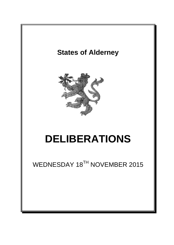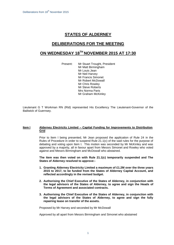# **STATES OF ALDERNEY**

## **DELIBERATIONS FOR THE MEETING**

## **ON WEDNESDAY 18TH NOVEMBER 2015 AT 17:30**

Present: Mr Stuart Trought, President Mr Matt Birmingham Mr Louis Jean Mr Neil Harvey Mr Francis Simonet Mr Robert McDowall Mr Chris Rowley Mr Steve Roberts Mrs Norma Paris Mr Graham McKinley

Lieutenant G T Workman RN (Rtd) represented His Excellency The Lieutenant-Governor of the Bailiwick of Guernsey.

### **Item I Alderney Electricity Limited – Capital Funding for Improvements to Distribution Grid**

Prior to Item I being presented, Mr Jean proposed the application of Rule 24 in the Rules of Procedure in order to suspend Rule 21.1(c) of the said rules for the purpose of debating and voting upon Item I. This motion was seconded by Mr McKinley and was approved by a majority, all in favour apart from Messrs Simonet and Rowley who voted against and Messrs Birmingham and McDowall who abstained.

**The item was then voted on with Rule 21.1(c) temporarily suspended and The States of Alderney resolved to approve:-**

- **1. Granting Alderney Electricity Limited a maximum of £1.2M over the three years 2015 to 2017, to be funded from the States of Alderney Capital Account, and reflected accordingly in the revised budget.**
- **2. Authorising the Chief Executive of the States of Alderney, in conjunction with the legal advisors of the States of Alderney, to agree and sign the Heads of Terms of Agreement and associated contracts.**
- **3. Authorising the Chief Executive of the States of Alderney, in conjunction with the legal advisors of the States of Alderney, to agree and sign the fully repairing lease on transfer of the assets.**

Proposed by Mr Harvey and seconded by Mr McDowall

Approved by all apart from Messrs Birmingham and Simonet who abstained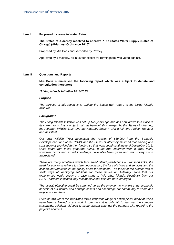### **Item II Proposed increase in Water Rates**

### **The States of Alderney resolved to approve "The States Water Supply (Rates of Charge) (Alderney) Ordinance 2015".**

Proposed by Mrs Paris and seconded by Rowley

Approved by a majority, all in favour except Mr Birmingham who voted against.

### **Item III Questions and Reports**

**Mrs Paris summarised the following report which was subject to debate and consultation thereafter:-**

*"Living Islands Initiative 2013/2015*

#### *Purpose*

*The purpose of this report is to update the States with regard to the Living Islands Initiative.*

#### *Background*

*The Living Islands Initiative was set up two years ago and has now drawn to a close in its current form. It is a project that has been jointly managed by the States of Alderney, the Alderney Wildlife Trust and the Alderney Society, with a full time Project Manager and Assistant.*

*Our own Wildlife Trust negotiated the receipt of £50,000 from the Strategic Development Fund of the RSWT and the States of Alderney matched that funding and subsequently provided further funding so that work could continue until December 2015. Quite apart from these generous sums, in the true Alderney way, a great many volunteer hours and expert knowledge have also been given and this is very much appreciated.*

*There are many problems which face small island jurisdictions – transport links, the need for economic drivers to stem depopulation, the loss of shops and services and the consequent reduction in the quality of life for residents. The thrust of the project was to*  seek ways of identifying solutions for these issues on Alderney, such that our *experiences would become a case study to help other islands. Feedback from our RSWT partners indicates they feel many useful pointers have emerged.*

*The overall objective could be summed up as the intention to maximise the economic benefits of our natural and heritage assets and encourage our community to value and help look after them.*

*Over the two years this translated into a very wide range of action plans, many of which have been achieved or are work in progress. It is only fair to say that the complex stakeholder relations did lead to some dissent amongst the partners with regard to the project's priorities.*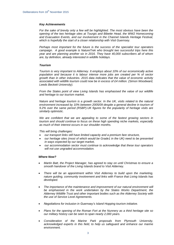#### *Key Achievements*

For the sake of brevity only a few will be highlighted. The most obvious have been the *opening of the two heritage sites at Tourgis and Bibette Head, the WW2 Homecoming and Evacuation Events, and our involvement in the Channel Islands Heritage Festival, which is hopefully the start of a closer relationship with Visit Guernsey.*

*Perhaps most important for the future is the success of the specialist tour operators campaign. A good example is NatureTrek who brought two successful trips here this year and are planning another six in 2016. They have 40,000 subscribers all of whom are, by definition, already interested in wildlife holidays.*

#### *Tourism*

*Tourism is very important to Alderney. It employs about 10% of our economically active population and because it is labour intense more jobs are created per % of sector growth than in other industries. 2015 data indicates that the value of economic activity associated with wildlife tourism could now be in excess of £4 million. (Simon Woodward, Leeds Beckett University).*

*From the States point of view Living Islands has emphasised the value of our wildlife and heritage to our tourism market.*

*Nature and heritage tourism is a growth sector. In the UK, visits related to the natural environment increased by 10% between 2005/09 despite a general decline in tourism of 9.2% over the same period (RSBP).UK figures for the popularity of heritage visits are similarly optimistic.*

*We are confident that we are appealing to some of the fastest growing sectors in tourism and should continue to focus on these high spending niche markets, especially as much of their interest occurs in our shoulder months.* 

*This will bring challenges:* 

- *our transport links still have limited capacity and a premium fare structure,*
- *our heritage sites (most of which would be Grade1 in the UK) need to be presented in ways expected by our target market,*
- *our accommodation sector must continue to acknowledge that these tour operators will not use ungraded accommodation.*

#### *Where Now?*

- *Martin Batt, the Project Manager, has agreed to stay on until Christmas to ensure a smooth handover of the Living Islands brand to Visit Alderney.*
- *There will be an appointment within Visit Alderney to build upon the marketing, nature guiding, community involvement and links with France that Living Islands has developed.*
- *The importance of the maintenance and improvement of our natural environment will be emphasised in the work undertaken by the States Works Department, the Alderney Wildlife Trust and other important bodies such as the Alderney Society with the use of Service Level Agreements.*
- *Negotiations for inclusion in Guernsey's Island Hopping tourism initiative.*
- *Plans for the opening of the Roman Fort at the Nunnery as a third heritage site so our military history can be seen to span nearly 2,000 years.*
- *Consideration of the Marine Park proposals from Plymouth University, acknowledged experts in this field, to help us safeguard and enhance our marine environment.*